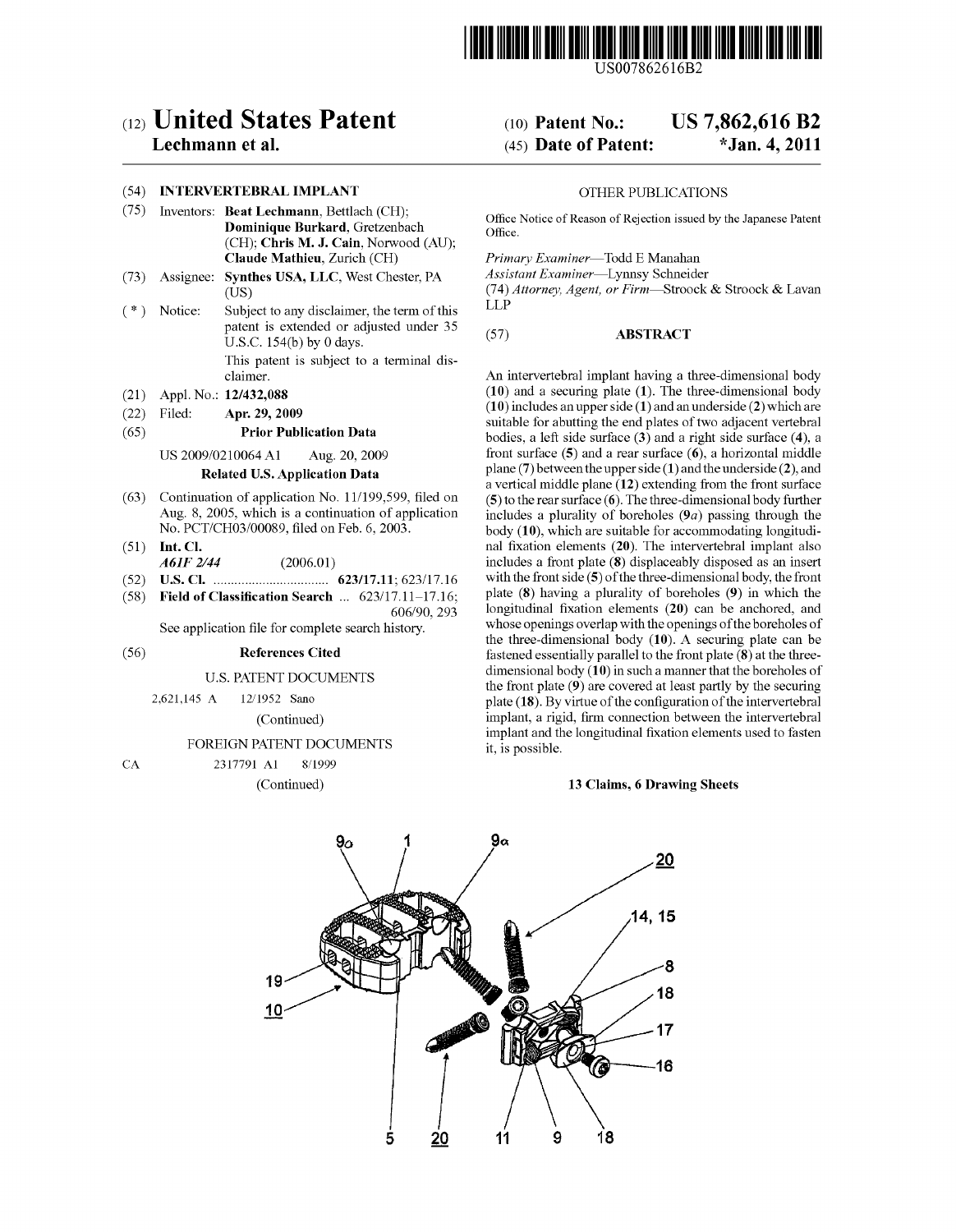

USOO7862616B2

# $(12)$  United States Patent  $(10)$  Patent No.: US 7,862,616 B2

# (54) INTERVERTEBRAL IMPLANT OTHER PUBLICATIONS

- (75) Inventors: Beat Lechmann, Bettlach (CH); Office Notice of Reason of Rejection issued by the Japanese Patent Dominique Burkard, Gretzenbach Office. (CH); Chris M. J. Cain, Norwood (AU);<br>Claude Mathieu, Zurich (CH)
- (73) Assignee: Synthes USA, LLC, West Chester, PA
- $(*)$  Notice: Subject to any disclaimer, the term of this patent is extended or adjusted under 35 patent is extended or adjusted under  $55$  (57) **ABSTRACT** U.S.C. 154(b) by 0 days. This patent is subject to a terminal dis
- 
- 

- 
- 
- 
- 
- $(58)$  Field of Classification Search  $\ldots$  623/17.11-17.16;

See application file for complete search history.

## FOREIGN PATENT DOCUMENTS it, is possible.

### CA 2317791 Al 8/1999

# Lechmann et a]. (45) Date of Patent: \*Jan. 4, 2011

Primary Examiner—Todd E Manahan<br>Assistant Examiner—Lynnsy Schneider

(US)  $(74)$  Attorney, Agent, or Firm—Stroock & Stroock & Lavan

claimer. An intervertebral implant having a three-dimensional body (21) Appl. No.:  $12/432,088$  (10) and a securing plate (1). The three-dimensional body<br>(22) Eilah (10) includes an upper side (1) and an underside (2) which are (22) Filed: **Apr. 29, 2009** (10) includes an upper side (1) and an underside (2) which are  $(65)$  **Prior Publication Data** bodies, a left side surface  $(3)$  and a right side surface (4), a US 2009/0210064 A1 Aug. 20, 2009 front surface (5) and a rear surface (6), a horizontal middle<br> **Polated U.S. Annihation Data** plane (7) between the upper side (1) and the underside (2), and **Related U.S. Application Data** plane (7) between the upper side (1) and the underside (2), and a vertical middle plane (12) extending from the front surface Continuation of application No. 11/199,599, filed on (5) to the (63) Continuation of application No. 11/199,599, filed on (5) to the rear surface (6). The three-dimensional body further Aug. 8, 2005, which is a continuation of application includes a plurality of boreholes (9*a*) passi Aug. 8, 2005, which is a continuation of application includes a plurality of boreholes (9*a*) passing through the No. PCT/CH03/00089, filed on Feb. 6, 2003. body (10), which are suitable for accommodating longitudi-(51) Int. Cl. nal fixation elements (20). The intervertebral implant also A61F 2/44 (2006.01) includes a front plate (8) displaceably disposed as an insert<br>U.S. Cl. (2006.01) 623/17.11: 623/17.16 with the front side (5) of the three-dimensional body, the front (52) us. Cl. ............................... .. 623/1711; 623/1716 withthe from side (5) efthethree-dimehsiehal body, the from  $606/90$ , 293 longitudinal fixation elements (20) can be anchored, and whose openings overlap with the openings of the boreholes of the three-dimensional body (10). A securing plate can be (56) **References Cited f**astened essentially parallel to the front plate  $\overline{\mathbf{8}}$  at the threedimensional body (10) in such a manner that the boreholes of U.S. PATENT DOCUMENTS<br>2.621,145 A 12/1952 Sano<br>2.621,145 A 12/1952 Sano<br>1.6221,145 A 12/1952 Sano<br>1.6221,145 A 12/1952 Sano plate  $(18)$ . By virtue of the configuration of the intervertebral (Continued) implant, a rigid, firm connection between the intervertebral implant and the longitudinal fixation elements used to fasten

### (Continued) 13 Claims, 6 Drawing Sheets

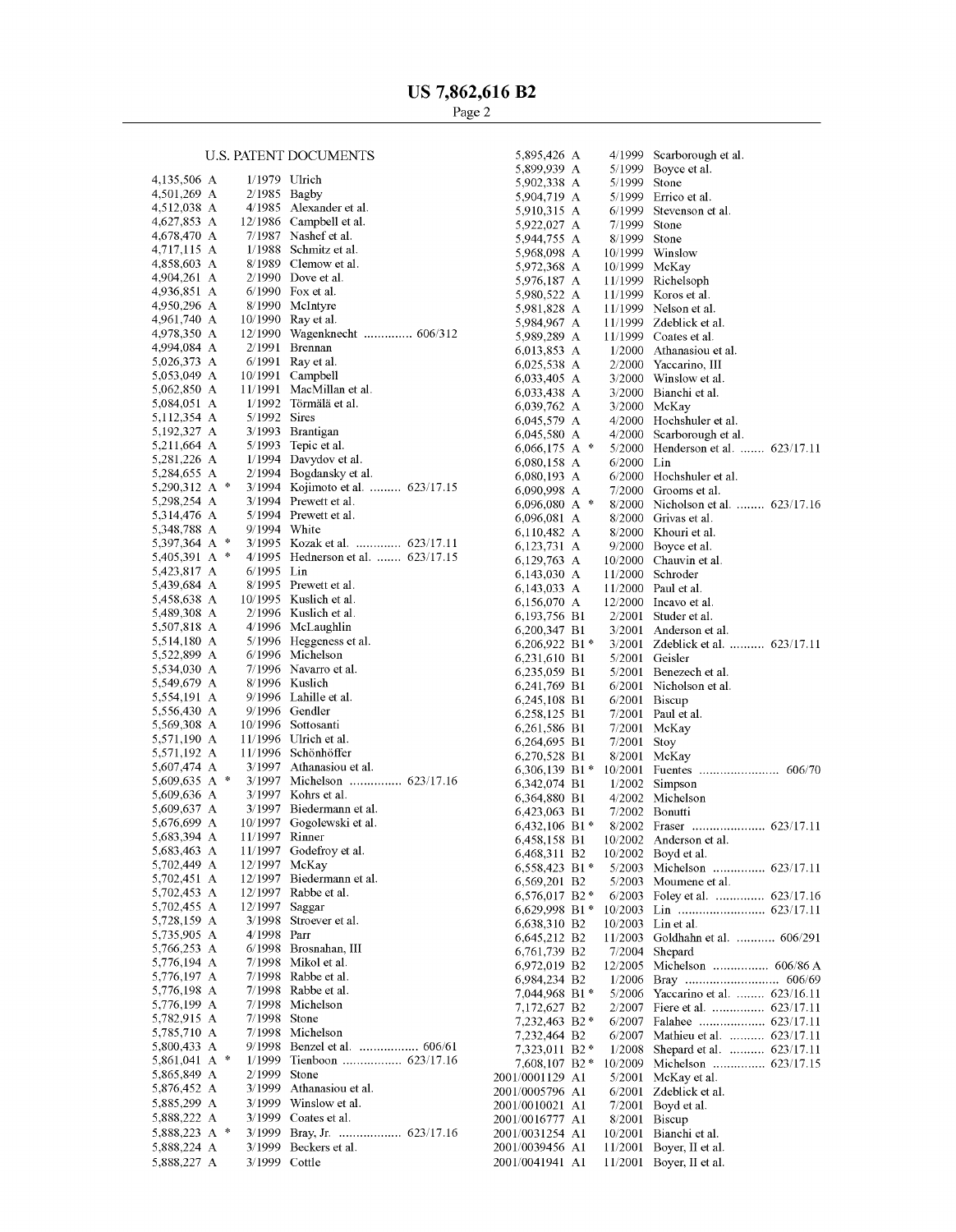# **U.S. PATENT DOCUMENTS**

| 4,135,506   | А |               | 1/1979  | Ulrich                      |
|-------------|---|---------------|---------|-----------------------------|
| 4,501,269   | А |               | 2/1985  | Bagby                       |
| 4,512,038   | А |               | 4/1985  | Alexander et al.            |
| 4,627,853   | А |               | 12/1986 | Campbell et al.             |
| 4,678,470   | А |               | 7/1987  | Nashef et al.               |
| 4,717,115   | А |               | 1/1988  | Schmitz et al.              |
|             |   |               |         |                             |
| 4,858,603   | А |               | 8/1989  | Clemow et al.               |
| 4,904,261   | А |               | 2/1990  | Dove et al.                 |
| 4,936,851   | А |               | 6/1990  | Fox et al.                  |
| 4,950,296   | А |               | 8/1990  | McIntyre                    |
| 4,961,740 A |   |               | 10/1990 | Ray et al.                  |
| 4,978,350   | А |               | 12/1990 | Wagenknecht  606/312        |
|             |   |               |         |                             |
| 4,994,084   | А |               | 2/1991  | Brennan                     |
| 5,026,373   | А |               | 6/1991  | Ray et al.                  |
| 5,053,049   | А |               | 10/1991 | Campbell                    |
| 5,062,850   | А |               | 11/1991 | MacMillan et al.            |
| 5,084,051   | А |               | 1/1992  | Törmälä et al.              |
| 5,112,354   | А |               | 5/1992  | Sires                       |
|             |   |               |         |                             |
| 5,192,327   | А |               | 3/1993  | Brantigan                   |
| 5,211,664   | А |               | 5/1993  | Tepic et al.                |
| 5,281,226 A |   |               | 1/1994  | Davydov et al.              |
| 5,284,655   | А |               | 2/1994  | Bogdansky et al.            |
| 5,290,312   | А | 永             | 3/1994  | Kojimoto et al.  623/17.15  |
| 5,298,254   | А |               | 3/1994  | Prewett et al.              |
|             |   |               |         |                             |
| 5,314,476   | А |               | 5/1994  | Prewett et al.              |
| 5,348,788   | А |               | 9/1994  | White                       |
| 5,397,364   | А | 永             | 3/1995  | Kozak et al.  623/17.11     |
| 5,405,391   | А | $\frac{1}{2}$ | 4/1995  | Hednerson et al.  623/17.15 |
| 5,423,817   | А |               | 6/1995  | Lin                         |
| 5,439,684   | А |               | 8/1995  | Prewett et al.              |
|             |   |               |         |                             |
| 5,458,638   | А |               | 10/1995 | Kuslich et al.              |
| 5,489,308   | А |               | 2/1996  | Kuslich et al.              |
| 5,507,818   | A |               | 4/1996  | McLaughlin                  |
| 5,514,180   | А |               | 5/1996  | Heggeness et al.            |
| 5,522,899   | А |               | 6/1996  | Michelson                   |
| 5,534,030   | А |               | 7/1996  | Navarro et al.              |
|             |   |               |         |                             |
| 5,549,679   | А |               | 8/1996  | Kuslich                     |
| 5,554,191   | А |               | 9/1996  | Lahille et al.              |
| 5,556,430   | А |               | 9/1996  | Gendler                     |
| 5,569,308   | А |               | 10/1996 | Sottosanti                  |
| 5,571,190 A |   |               | 11/1996 | Ulrich et al.               |
| 5,571,192   | А |               | 11/1996 | Schönhöffer                 |
|             |   |               |         |                             |
| 5,607,474   | А |               | 3/1997  | Athanasiou et al.           |
| 5,609,635   | А | 永             | 3/1997  | Michelson  623/17.16        |
| 5,609,636   | A |               | 3/1997  | Kohrs et al.                |
| 5,609,637   | А |               | 3/1997  | Biedermann et al.           |
| 5,676,699 A |   |               | 10/1997 | Gogolewski et al.           |
|             |   |               |         |                             |
| 5.683,394 A |   |               | 11/1997 | Rinner                      |
| 5,683,463   | A |               | 11/1997 | Godefroy et al.             |
| 5,702,449 A |   |               | 12/1997 | McKay                       |
| 5,702,451   | А |               | 12/1997 | Biedermann et al.           |
| 5,702,453   | А |               | 12/1997 | Rabbe et al.                |
| 5,702,455   | А |               | 12/1997 | Saggar                      |
| 5,728,159   | А |               | 3/1998  | Stroever et al.             |
|             |   |               |         |                             |
| 5,735,905   | А |               | 4/1998  | Parr                        |
| 5,766,253   | А |               | 6/1998  | Brosnahan, III              |
| 5,776,194   | А |               | 7/1998  | Mikol et al.                |
| 5,776,197   | А |               | 7/1998  | Rabbe et al.                |
| 5,776,198   | А |               | 7/1998  | Rabbe et al.                |
|             |   |               | 7/1998  | Michelson                   |
| 5,776,199   | А |               |         |                             |
| 5,782,915   | А |               | 7/1998  | Stone                       |
| 5,785,710   | А |               | 7/1998  | Michelson                   |
| 5,800,433   | А |               | 9/1998  | Benzel et al.               |
| 5,861,041   | А | 申             | 1/1999  | Tienboon  623/17.16         |
| 5,865,849   | А |               | 2/1999  | Stone                       |
| 5,876,452   | А |               |         | Athanasiou et al.           |
|             |   |               | 3/1999  |                             |
| 5,885,299   | А |               | 3/1999  | Winslow et al.              |
| 5,888,222   | А |               | 3/1999  | Coates et al.               |
| 5,888,223   | А | ÷             | 3/1999  | Bray, Jr.                   |
| 5,888,224   | А |               | 3/1999  | Beckers et al.              |
|             |   |               |         |                             |
| 5,888,227 A |   |               | 3/1999  | Cottle                      |

| 5,895,426 A                  |                | 4/1999             | Scarborough et al.                   |
|------------------------------|----------------|--------------------|--------------------------------------|
| 5,899,939                    | А              | 5/1999             | Boyce et al.                         |
| 5,902,338                    | А              | 5/1999             | Stone                                |
| 5,904,719                    | A              | 5/1999             | Errico et al.                        |
| 5,910,315                    | А              | 6/1999             | Stevenson et al.                     |
| 5,922,027                    | A              | 7/1999             | Stone                                |
| 5,944,755                    | А              | 8/1999             | Stone                                |
| 5,968,098                    | A              |                    |                                      |
|                              |                | 10/1999            | Winslow                              |
| 5,972,368 A                  |                | 10/1999            | McKay                                |
| 5,976,187                    | А              | 11/1999            | Richelsoph                           |
| 5,980,522                    | А              | 11/1999            | Koros et al.                         |
| 5,981,828                    | А              | 11/1999            | Nelson et al.                        |
| 5,984,967 A                  |                | 11/1999            | Zdeblick et al.                      |
| 5,989,289                    | А              | 11/1999            | Coates et al.                        |
| 6,013,853                    | А              | 1/2000             | Athanasiou et al.                    |
|                              |                |                    |                                      |
| 6,025,538                    | А              | 2/2000             | Yaccarino, III                       |
| 6,033,405                    | A              | 3/2000             | Winslow et al.                       |
| 6,033,438                    | А              | 3/2000             | Bianchi et al.                       |
| 6,039,762                    | А              | 3/2000             | McKay                                |
| 6,045,579                    | A              | 4/2000             | Hochshuler et al.                    |
| 6,045,580                    | А              | 4/2000             | Scarborough et al.                   |
| 6,066,175                    | ₩<br>А         | 5/2000             | Henderson et al.  623/17.11          |
|                              |                | 6/2000             | Lin                                  |
| 6,080,158                    | А              |                    |                                      |
| 6,080,193                    | А              | 6/2000             | Hochshuler et al.                    |
| 6,090,998                    | А              | 7/2000             | Grooms et al.                        |
| 6,096,080                    | ∗<br>А         | 8/2000             | Nicholson et al.  623/17.16          |
| 6,096,081                    | А              | 8/2000             | Grivas et al.                        |
| 6,110,482                    | А              | 8/2000             | Khouri et al.                        |
| 6,123,731                    | А              | 9/2000             | Boyce et al.                         |
|                              |                |                    |                                      |
| 6,129,763                    | А              | 10/2000            | Chauvin et al.                       |
| 6,143,030 A                  |                | 11/2000            | Schroder                             |
| 6,143,033                    | A              | 11/2000            | Paul et al.                          |
| 6,156,070 A                  |                | 12/2000            | Incavo et al.                        |
| 6,193,756 B1                 |                | 2/2001             | Studer et al.                        |
| 6,200,347 B1                 |                | 3/2001             | Anderson et al.                      |
| 6,206,922                    | $B1*$          | 3/2001             | Zdeblick et al.  623/17.11           |
|                              |                |                    |                                      |
| 6,231,610 B1                 |                | 5/2001             | Geisler                              |
| 6,235,059 B1                 |                | 5/2001             | Benezech et al.                      |
| 6,241,769 B1                 |                | 6/2001             | Nicholson et al.                     |
| 6,245,108 B1                 |                | 6/2001             | <b>Biscup</b>                        |
| 6,258,125 B1                 |                |                    | Paul et al.                          |
|                              |                |                    |                                      |
|                              |                | 7/2001             |                                      |
| 6,261,586 B1                 |                | 7/2001             | McKay                                |
| 6,264,695 B1                 |                | 7/2001             | Stoy                                 |
| 6,270,528 B1                 |                | 8/2001             | McKay                                |
| 6,306,139 B1 *               |                | 10/2001            | Fuentes<br>606/70<br>                |
| 6,342,074 B1                 |                | 1/2002             | Simpson                              |
| 6,364,880 B1                 |                | 4/2002             | Michelson                            |
|                              |                | 7/2002             | Bonutti                              |
| 6,423,063 B1                 |                |                    |                                      |
| 6,432,106 B1 *               |                | 8/2002             |                                      |
| 6,458,158 B1                 |                | 10/2002            | Anderson et al.                      |
| 6,468,311                    | B <sub>2</sub> | 10/2002            | Boyd et al.                          |
| 6,558,423                    | $B1*$          | 5/2003             | Michelson                            |
| 6,569,201                    | B <sub>2</sub> | 5/2003             | Moumene et al.                       |
| 6,576,017                    | $B2*$          | 6/2003             | Foley et al.  623/17.16              |
| 6,629,998                    | $B1*$          | 10/2003            | Lin  623/17.11                       |
|                              |                |                    |                                      |
| 6,638,310                    | B <sub>2</sub> | 10/2003            | Lin et al.                           |
| 6,645,212                    | B <sub>2</sub> | 11/2003            | Goldhahn et al.  606/291             |
| 6,761,739                    | B <sub>2</sub> | 7/2004             | Shepard                              |
| 6,972,019                    | B <sub>2</sub> | 12/2005            | Michelson  606/86 A                  |
| 6,984,234                    | B <sub>2</sub> | 1/2006             |                                      |
| 7,044,968                    | $B1*$          | 5/2006             | Yaccarino et al.  623/16.11          |
| 7,172,627                    | B <sub>2</sub> | 2/2007             | Fiere et al.  623/17.11              |
| 7,232,463                    | $B2*$          | 6/2007             | Falahee  623/17.11                   |
|                              |                |                    |                                      |
| 7,232,464                    | B <sub>2</sub> | 6/2007             | Mathieu et al.  623/17.11            |
| 7,323,011                    | $B2*$          | 1/2008             | Shepard et al.  623/17.11            |
| 7,608,107                    | $B2*$          | 10/2009            | Michelson  623/17.15                 |
| 2001/0001129                 | A1             | 5/2001             | McKay et al.                         |
| 2001/0005796                 | A1             | 6/2001             | Zdeblick et al.                      |
| 2001/0010021                 | Al             | 7/2001             | Boyd et al.                          |
| 2001/0016777                 | A1             | 8/2001             | Biscup                               |
|                              |                |                    |                                      |
| 2001/0031254                 | A1             | 10/2001            | Bianchi et al.                       |
| 2001/0039456<br>2001/0041941 | A1<br>A1       | 11/2001<br>11/2001 | Boyer, II et al.<br>Boyer, II et al. |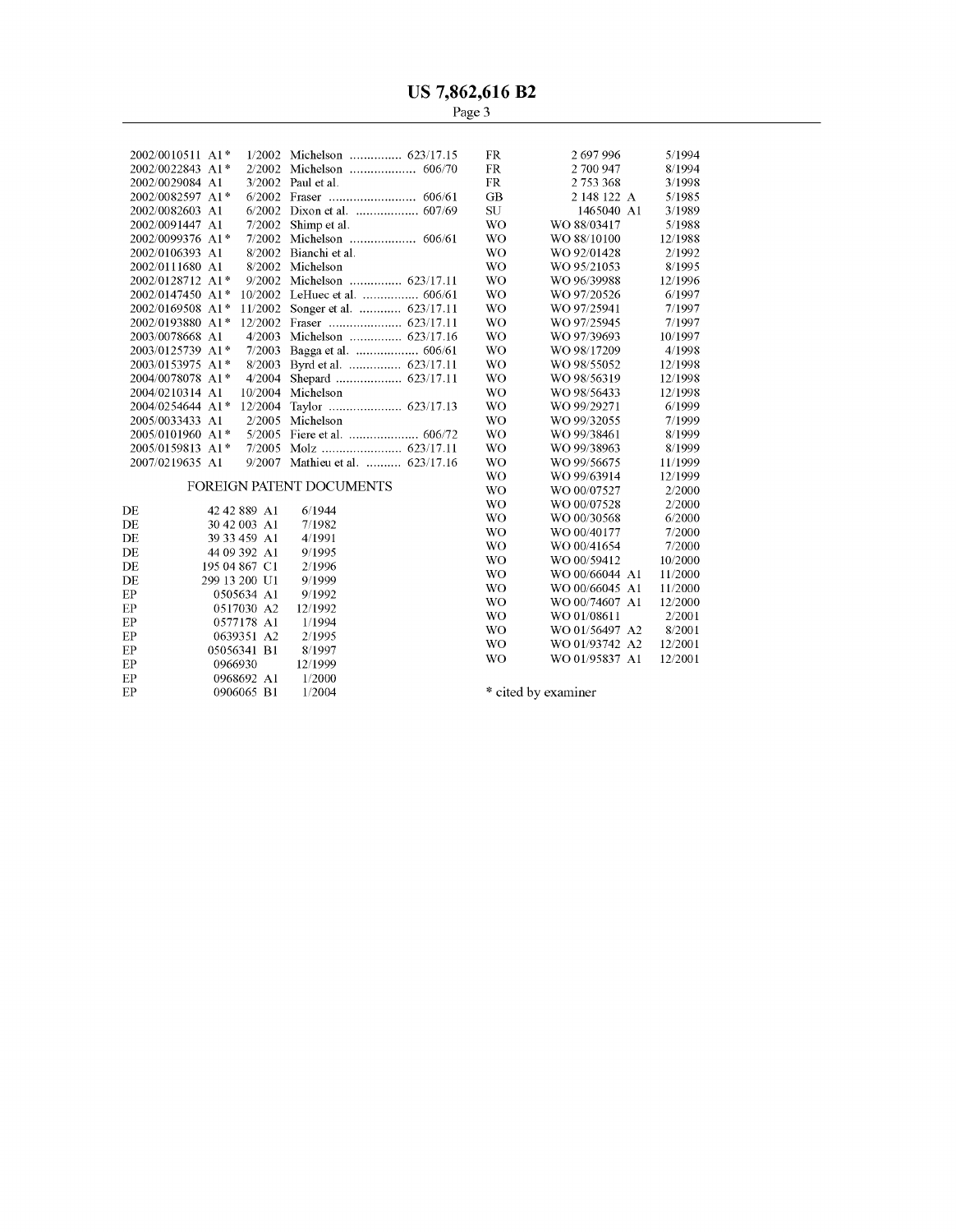| $2002/0010511$ A <sub>1</sub> <sup>*</sup> |              | 1/2002 Michelson  623/17.15     | FR.       | 2697996     | 5/1994  |
|--------------------------------------------|--------------|---------------------------------|-----------|-------------|---------|
| 2002/0022843 A1*                           | 2/2002       | Michelson  606/70               | <b>FR</b> | 2 700 947   | 8/1994  |
| 2002/0029084 A1                            | 3/2002       | Paul et al.                     | FR        | 2753368     | 3/1998  |
| 2002/0082597 A1*                           | 6/2002       |                                 | GB        | 2 148 122 A | 5/1985  |
| 2002/0082603 A1                            | 6/2002       |                                 | SU        | 1465040 A1  | 3/1989  |
| 2002/0091447 A1                            | 7/2002       | Shimp et al.                    | <b>WO</b> | WO 88/03417 | 5/1988  |
| 2002/0099376 A1*                           | 7/2002       | Michelson  606/61               | <b>WO</b> | WO 88/10100 | 12/1988 |
| 2002/0106393 A1                            | 8/2002       | Bianchi et al.                  | <b>WO</b> | WO 92/01428 | 2/1992  |
| 2002/0111680 A1                            | 8/2002       | Michelson                       | <b>WO</b> | WO 95/21053 | 8/1995  |
| 2002/0128712 A1*                           | 9/2002       | Michelson  623/17.11            | <b>WO</b> | WO 96/39988 | 12/1996 |
| 2002/0147450 A1*                           | 10/2002      |                                 | WO.       | WO 97/20526 | 6/1997  |
| 2002/0169508 A1*                           | 11/2002      | Songer et al.  623/17.11        | <b>WO</b> | WO 97/25941 | 7/1997  |
| 2002/0193880 A1*                           | 12/2002      |                                 | <b>WO</b> | WO 97/25945 | 7/1997  |
| 2003/0078668 A1                            | 4/2003       | Michelson  623/17.16            | <b>WO</b> | WO 97/39693 | 10/1997 |
| 2003/0125739 A1*                           | 7/2003       |                                 | <b>WO</b> | WO 98/17209 | 4/1998  |
| 2003/0153975 A1*                           | 8/2003       | Byrd et al.  623/17.11          | <b>WO</b> | WO 98/55052 | 12/1998 |
| 2004/0078078 A1*                           | 4/2004       |                                 | WO.       | WO 98/56319 | 12/1998 |
| 2004/0210314 A1                            | 10/2004      | Michelson                       | <b>WO</b> | WO 98/56433 | 12/1998 |
| $2004/0254644$ A <sub>1</sub> <sup>*</sup> | 12/2004      |                                 | <b>WO</b> | WO 99/29271 | 6/1999  |
| 2005/0033433 A1                            | 2/2005       | Michelson                       | <b>WO</b> | WO 99/32055 | 7/1999  |
| 2005/0101960 A1*                           | 5/2005       |                                 | WO.       | WO 99/38461 | 8/1999  |
| 2005/0159813 A1*                           | 7/2005       |                                 | WO.       | WO 99/38963 | 8/1999  |
| 2007/0219635 A1                            | 9/2007       | Mathieu et al.  623/17.16       | WO        | WO 99/56675 | 11/1999 |
|                                            |              |                                 | <b>WO</b> | WO 99/63914 | 12/1999 |
|                                            |              | <b>FOREIGN PATENT DOCUMENTS</b> | <b>WO</b> | WO 00/07527 | 2/2000  |
| DF.                                        | 42 42 889 A1 | 6/1944                          | <b>WO</b> | WO 00/07528 | 2/2000  |
| ŃП                                         | 20.42.002.11 | 7/1002                          | WO        | WO 00/30568 | 6/2000  |

|    |               |         | <b>WO</b><br>WO 00/07528 | 2/2000  |
|----|---------------|---------|--------------------------|---------|
| DE | 42 42 889 A1  | 6/1944  | WO.<br>WO 00/30568       | 6/2000  |
| DE | 30 42 003 A1  | 7/1982  | WO.<br>WO 00/40177       | 7/2000  |
| DE | 39 33 459 A1  | 4/1991  |                          |         |
| DE | 44 09 392 A1  | 9/1995  | WO.<br>WO 00/41654       | 7/2000  |
| DE | 195 04 867 C1 | 2/1996  | WO.<br>WO 00/59412       | 10/2000 |
|    |               |         | WO.<br>WO 00/66044 A1    | 11/2000 |
| DE | 299 13 200 U1 | 9/1999  | WO.<br>WO 00/66045 A1    | 11/2000 |
| EP | 0505634 A1    | 9/1992  | WO.<br>WO 00/74607 A1    | 12/2000 |
| EP | 0517030 A2    | 12/1992 |                          |         |
| EP | 0577178 A1    | 1/1994  | WO.<br>WO 01/08611       | 2/2001  |
| EP | 0639351 A2    | 2/1995  | WO.<br>WO 01/56497 A2    | 8/2001  |
| EP | 05056341 B1   | 8/1997  | WO.<br>WO 01/93742 A2    | 12/2001 |
|    |               |         | WO.<br>WO 01/95837 A1    | 12/2001 |
| EP | 0966930       | 12/1999 |                          |         |
| EP | 0968692 A1    | 1/2000  |                          |         |
| EP | 0906065 B1    | 1/2004  | * cited by examiner      |         |

| FR        | 2753368           | 3/1998  |
|-----------|-------------------|---------|
| GB        | 2 148 122 A       | 5/1985  |
| SU        | 1465040 A1        | 3/1989  |
| <b>WO</b> | WO 88/03417       | 5/1988  |
| WΟ        | WO 88/10100       | 12/1988 |
| WO        | WO 92/01428       | 2/1992  |
| WΟ        | WO 95/21053       | 8/1995  |
| WΟ        | WO 96/39988       | 12/1996 |
| WO        | WO 97/20526       | 6/1997  |
| WΟ        | WO 97/25941       | 7/1997  |
| WO        | WO 97/25945       | 7/1997  |
| <b>WO</b> | WO 97/39693       | 10/1997 |
| WO        | WO 98/17209       | 4/1998  |
| WΟ        | WO 98/55052       | 12/1998 |
| <b>WO</b> | WO 98/56319       | 12/1998 |
| WΟ        | WO 98/56433       | 12/1998 |
| WΟ        | WO 99/29271       | 6/1999  |
| WΟ        | WO 99/32055       | 7/1999  |
| WO        | WO 99/38461       | 8/1999  |
| WO        | WO 99/38963       | 8/1999  |
| WO        | WO 99/56675       | 11/1999 |
| WO        | WO 99/63914       | 12/1999 |
| <b>WO</b> | WO 00/07527       | 2/2000  |
| WO        | WO 00/07528       | 2/2000  |
| WΟ        | WO 00/30568       | 6/2000  |
| WΟ        | WO 00/40177       | 7/2000  |
| WO        | WO 00/41654       | 7/2000  |
| WO        | WO 00/59412       | 10/2000 |
| WΟ        | WO 00/66044<br>A1 | 11/2000 |
| WO        | WO 00/66045<br>A1 | 11/2000 |
| WΟ        | WO 00/74607<br>A1 | 12/2000 |
| WO        | WO 01/08611       | 2/2001  |
| WO        | WO 01/56497<br>A2 | 8/2001  |
| WΟ        | WO 01/93742<br>A2 | 12/2001 |
| WΟ        | WO 01/95837<br>A1 | 12/2001 |
|           |                   |         |

 $\hspace{0.1mm}^*$  cited by examiner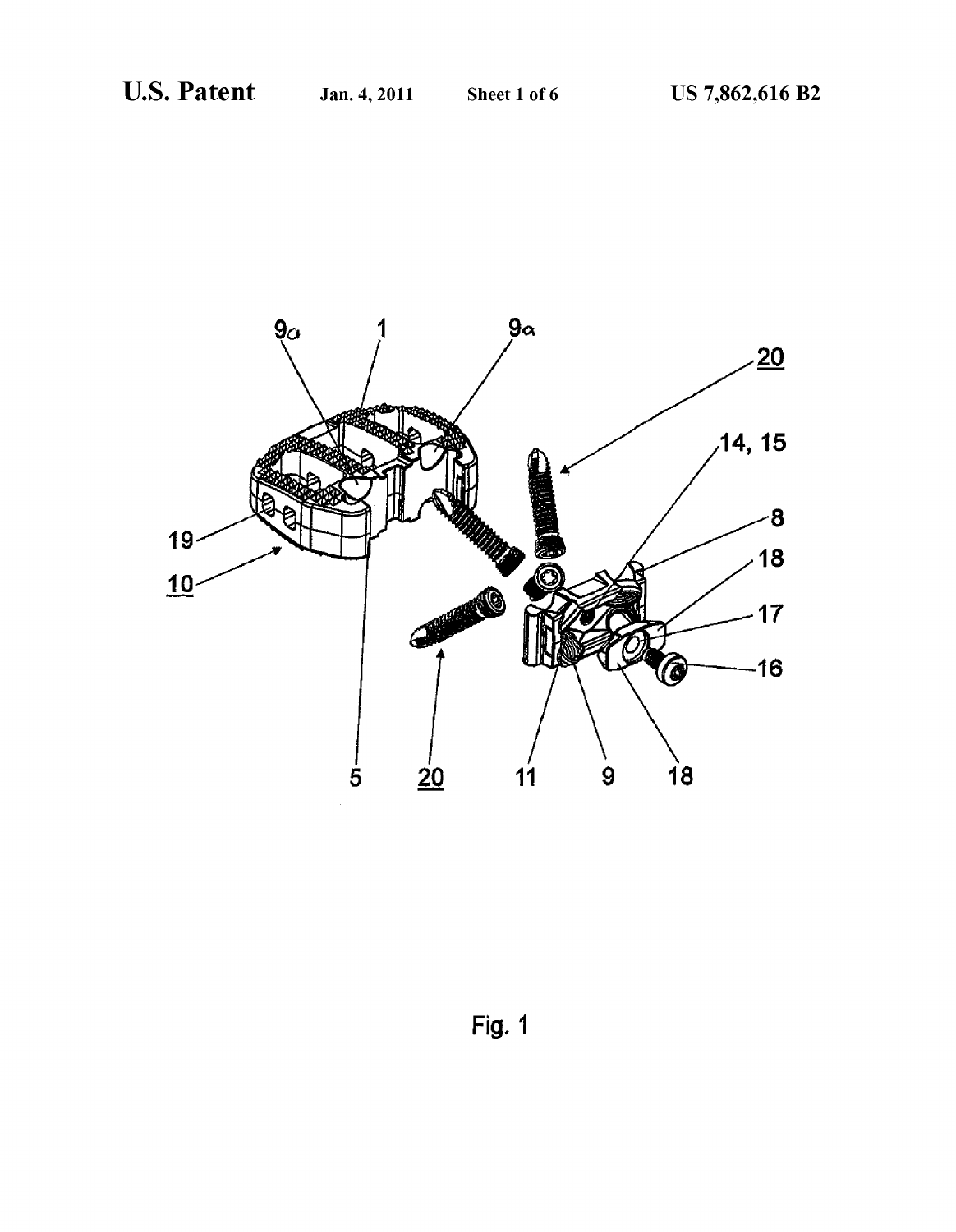

Fig. 1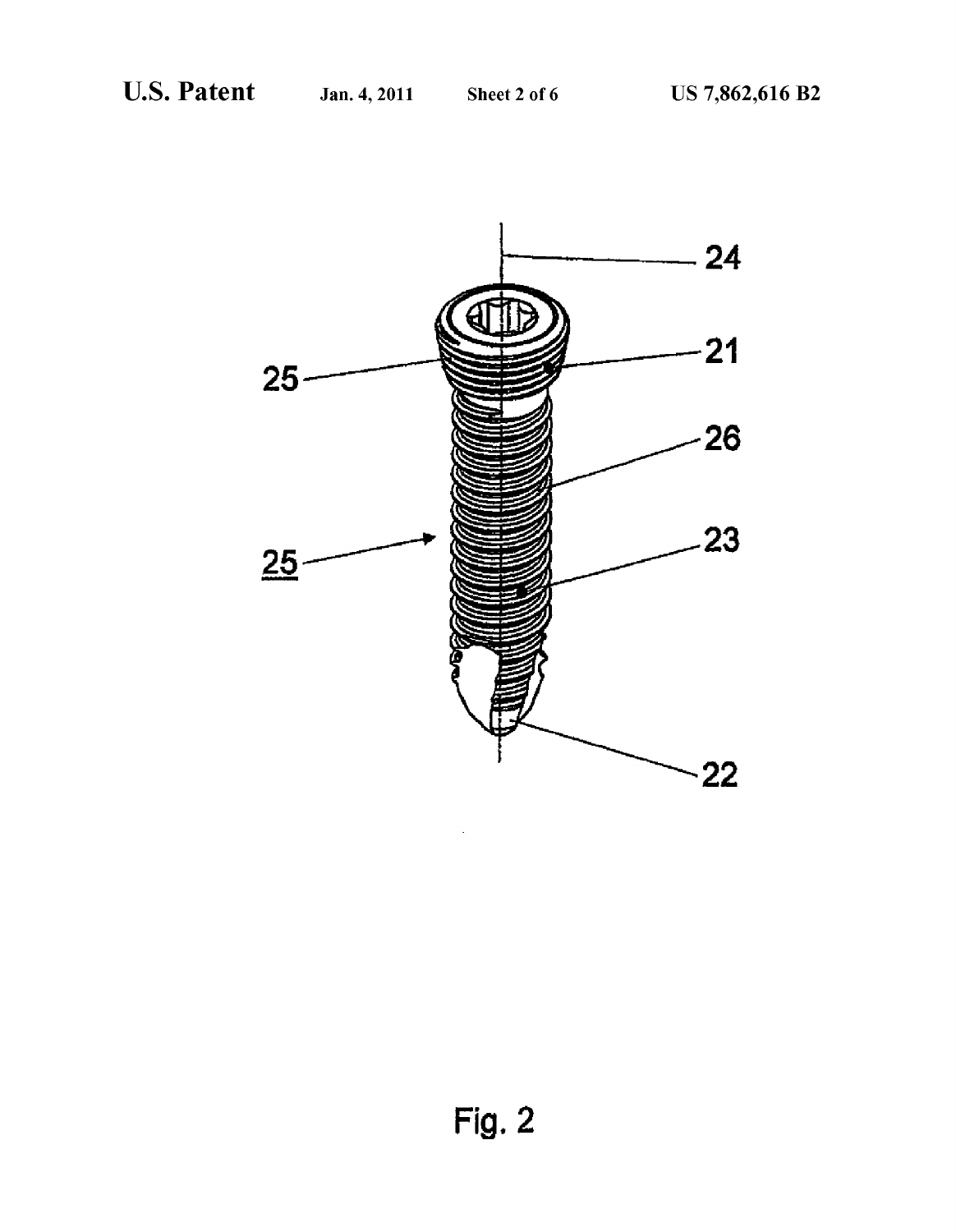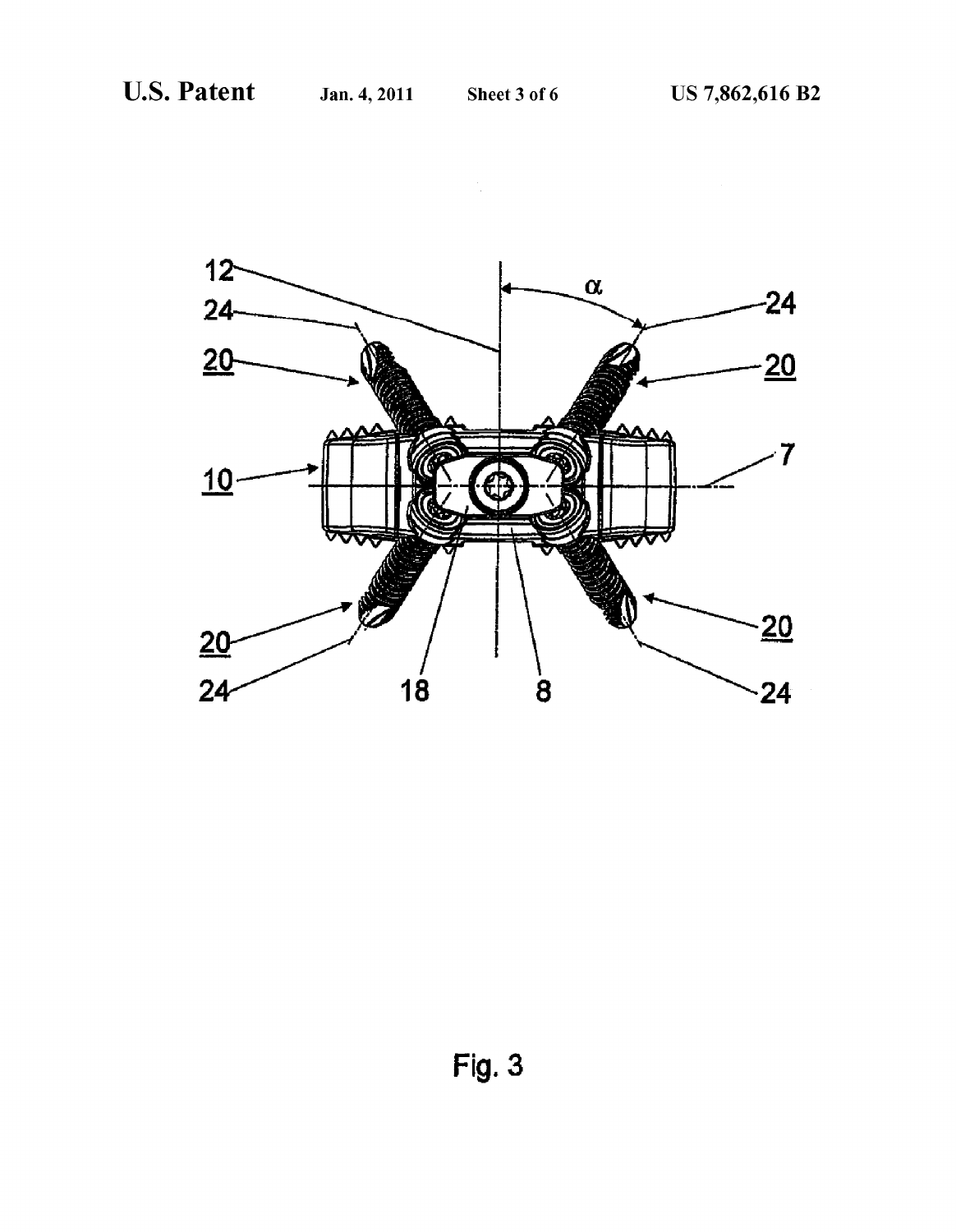

 $Fig. 3$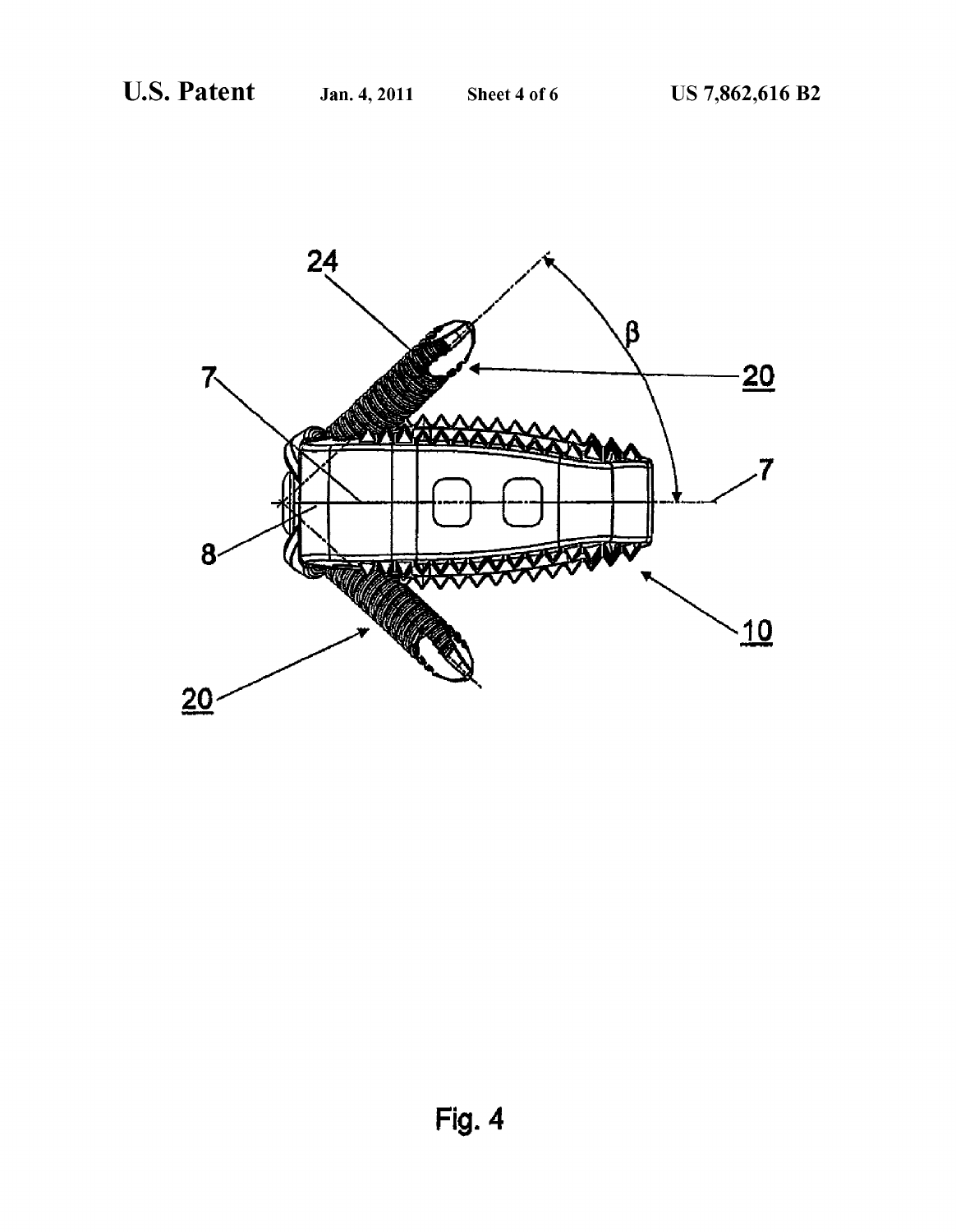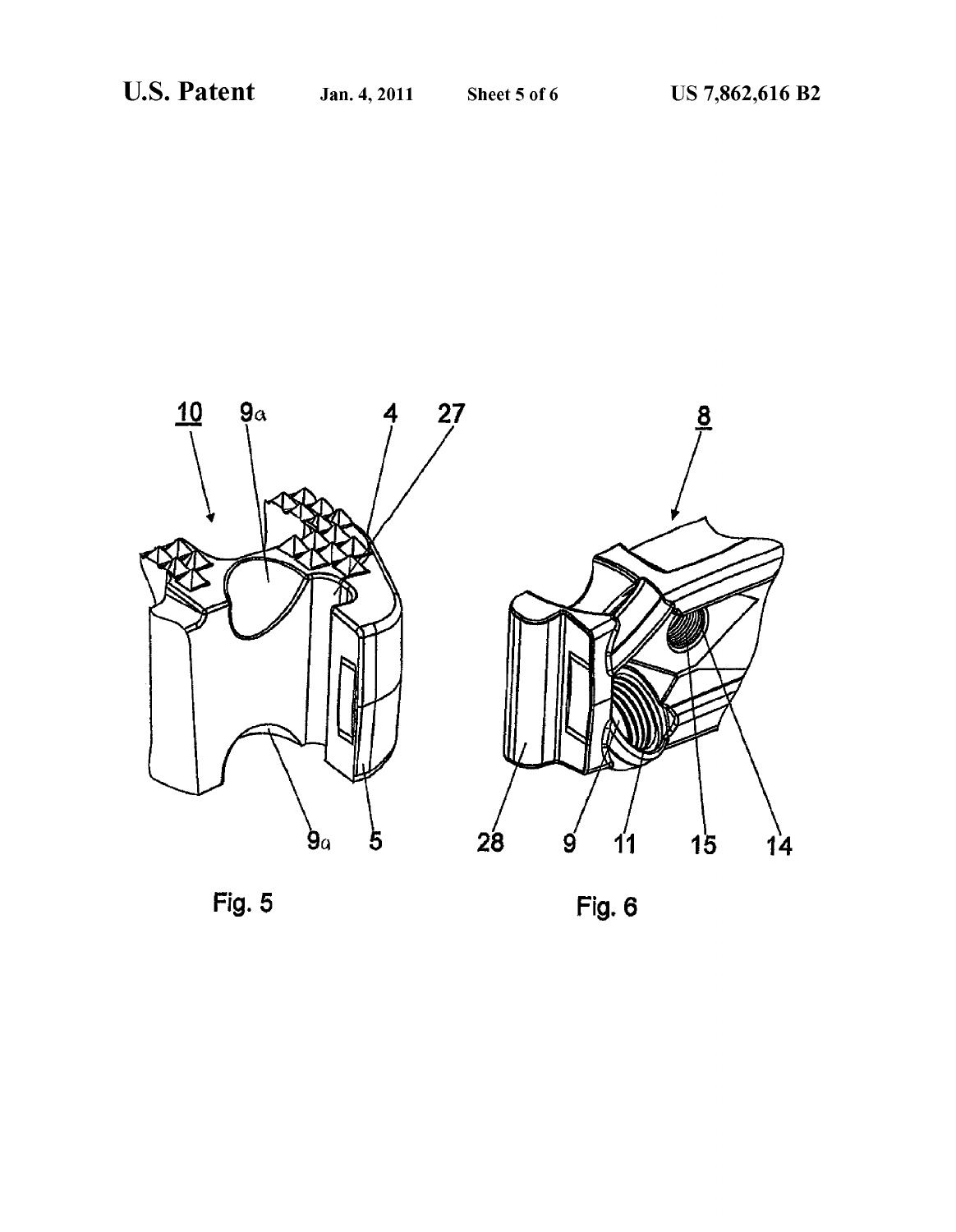

Fig.  $5$ 

Fig. 6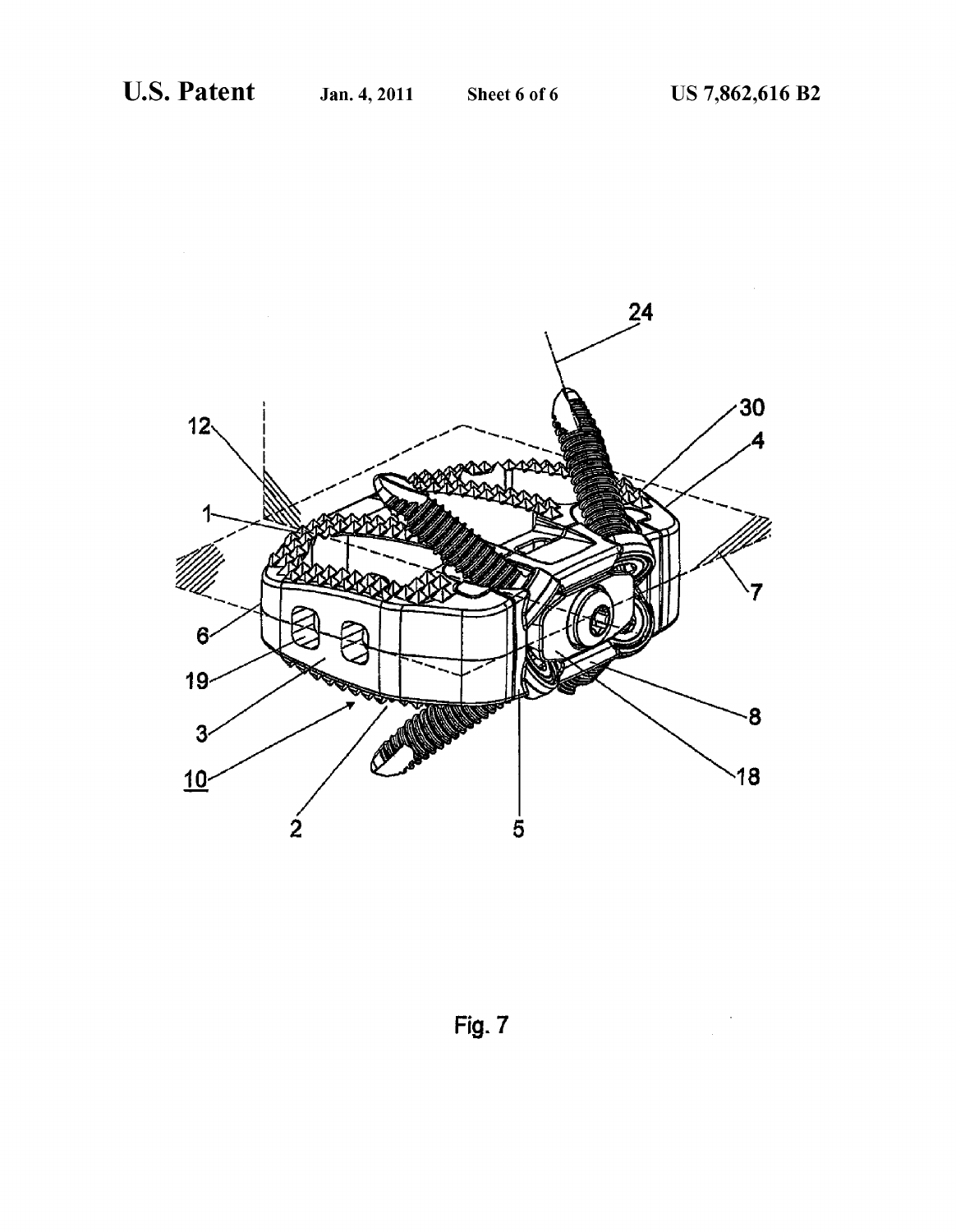

Fig. 7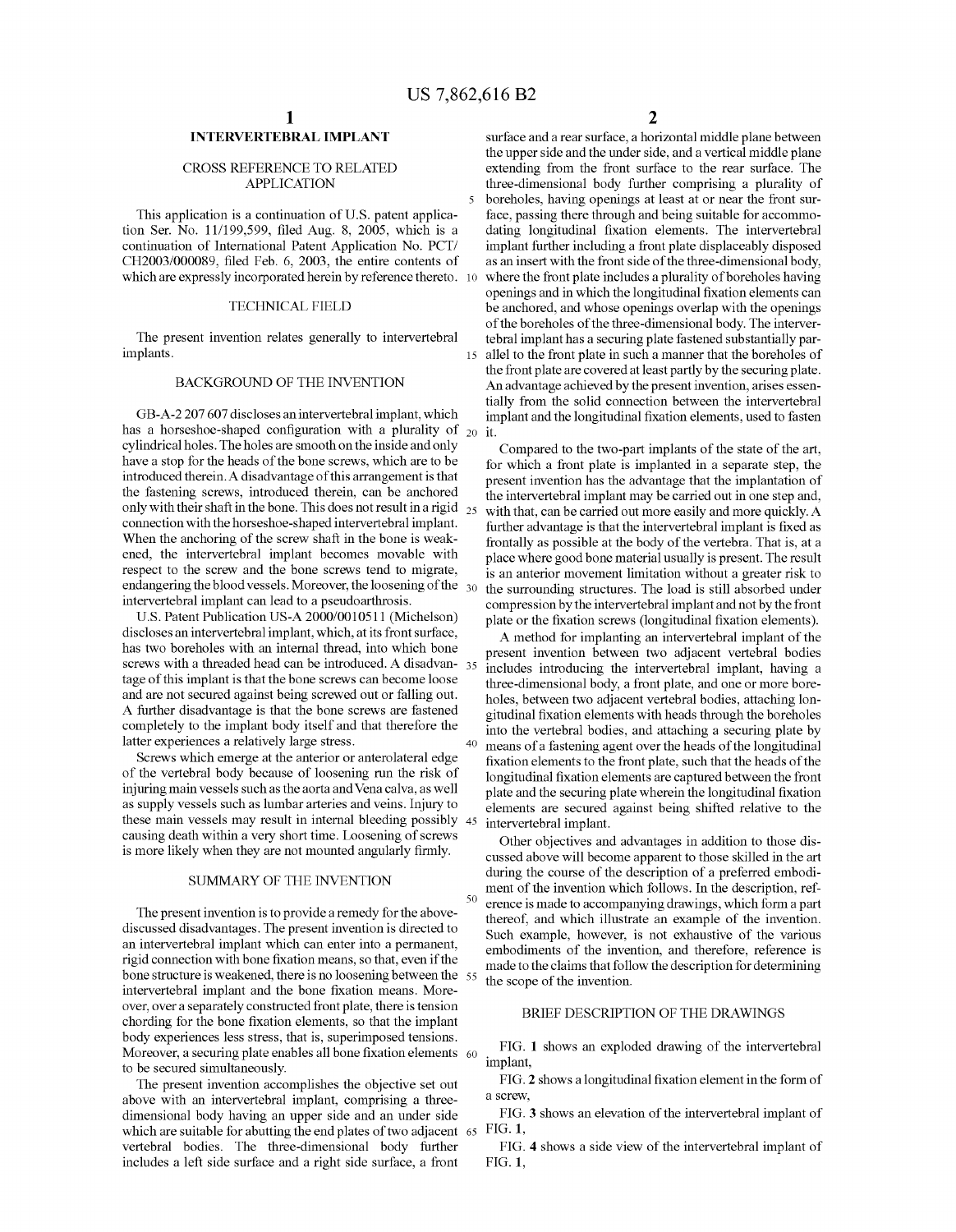15

40

50

## INTERVERTEBRAL IMPLANT

### CROSS REFERENCE TO RELATED APPLICATION

This application is a continuation of U.S. patent application Ser. No.  $11/199,599$ , filed Aug. 8, 2005, which is a continuation of International Patent Application No. PCT/ CH2003/000089, filed Feb. 6, 2003, the entire contents of which are expressly incorporated herein by reference thereto. 10

### TECHNICAL FIELD

The present invention relates generally to intervertebral implants.

### BACKGROUND OF THE INVENTION

GB-A-2 207 607 discloses an intervertebral implant, which has a horseshoe-shaped configuration with a plurality of  $_{20}$ cylindrical holes. The holes are smooth on the inside and only have a stop for the heads of the bone screws, which are to be introduced therein. A disadvantage of this arrangement is that the fastening screws, introduced therein, can be anchored only with their shaft in the bone. This does not result in a rigid  $_{25}$ connection with the horseshoe-shaped intervertebral implant. When the anchoring of the screw shaft in the bone is weak ened, the intervertebral implant becomes movable with respect to the screw and the bone screws tend to migrate, endangering the blood vessels. Moreover, the loosening of the  $\,$   $_{30}$ intervertebral implant can lead to a pseudoarthrosis.

U.S. Patent Publication US-A 2000/0010511 (Michelson) discloses an intervertebral implant, which, at its front surface, has two boreholes with an internal thread, into which bone screws with a threaded head can be introduced. A disadvan- 35 tage of this implant is that the bone screws can become loose and are not secured against being screwed out or falling out. A further disadvantage is that the bone screws are fastened completely to the implant body itself and that therefore the latter experiences a relatively large stress.

Screws which emerge at the anterior or anterolateral edge of the vertebral body because of loosening run the risk of injuring main vessels such as the aorta andVena calva, as well as supply vessels such as lumbar arteries and veins. Injury to these main vessels may result in internal bleeding possibly 45 causing death within a very short time. Loosening of screws is more likely when they are not mounted angularly firmly.

### SUMMARY OF THE INVENTION

The present invention is to provide a remedy for the above discussed disadvantages. The present invention is directed to an intervertebral implant which can enter into a permanent, rigid connection with bone fixation means, so that, even if the bone structure is weakened, there is no loosening between the 55 intervertebral implant and the bone fixation means. Moreover, over a separately constructed front plate, there is tension chording for the bone fixation elements, so that the implant body experiences less stress, that is, superimposed tensions. Moreover, a securing plate enables all bone fixation elements  $\,$  60  $\,$ to be secured simultaneously.

The present invention accomplishes the objective set out above with an intervertebral implant, comprising a three dimensional body having an upper side and an under side which are suitable for abutting the end plates of two adjacent 65 vertebral bodies. The three-dimensional body further includes a left side surface and a right side surface, a front

2

surface and a rear surface, a horizontal middle plane between the upper side and the under side, and a vertical middle plane extending from the front surface to the rear surface. The three-dimensional body further comprising a plurality of boreholes, having openings at least at or near the front sur face, passing there through and being suitable for accommodating longitudinal fixation elements. The intervertebral implant further including a front plate displaceably disposed as an insert with the front side of the three-dimensional body, where the front plate includes a plurality of boreholes having openings and in which the longitudinal fixation elements can be anchored, and whose openings overlap with the openings of the boreholes of the three-dimensional body. The interver tebral implant has a securing plate fastened substantially par allel to the front plate in such a manner that the boreholes of the front plate are covered at least partly by the securing plate. An advantage achieved by the present invention, arises essentially from the solid connection between the intervertebral implant and the longitudinal fixation elements, used to fasten it.

Compared to the two-part implants of the state of the art, for which a front plate is implanted in a separate step, the present invention has the advantage that the implantation of the intervertebral implant may be carried out in one step and, with that, can be carried out more easily and more quickly. A further advantage is that the intervertebral implant is fixed as frontally as possible at the body of the vertebra. That is, at a place where good bone material usually is present. The result is an anterior movement limitation without a greater risk to the surrounding structures. The load is still absorbed under compres sion by the intervertebral implant and not by the front plate or the fixation screws (longitudinal fixation elements).

A method for implanting an intervertebral implant of the present invention between two adjacent vertebral bodies includes introducing the intervertebral implant, having a three-dimensional body, a front plate, and one or more bore holes, between two adjacent vertebral bodies, attaching lon gitudinal fixation elements with heads through the boreholes into the vertebral bodies, and attaching a securing plate by means of a fastening agent over the heads of the longitudinal fixation elements to the front plate, such that the heads of the longitudinal fixation elements are captured between the front plate and the securing plate wherein the longitudinal fixation elements are secured against being shifted relative to the intervertebral implant.

Other objectives and advantages in addition to those dis cussed above will become apparent to those skilled in the art during the course of the description of a preferred embodi ment of the invention which follows. In the description, ref erence is made to accompanying drawings, which form a part thereof, and which illustrate an example of the invention. Such example, however, is not exhaustive of the various embodiments of the invention, and therefore, reference is made to the claims that follow the description for determining the scope of the invention.

### BRIEF DESCRIPTION OF THE DRAWINGS

FIG. 1 shows an exploded drawing of the intervertebral implant,

FIG. 2 shows a longitudinal fixation element in the form of a screw,

FIG. 3 shows an elevation of the intervertebral implant of FIG. 1,

FIG. 4 shows a side view of the intervertebral implant of FIG. 1,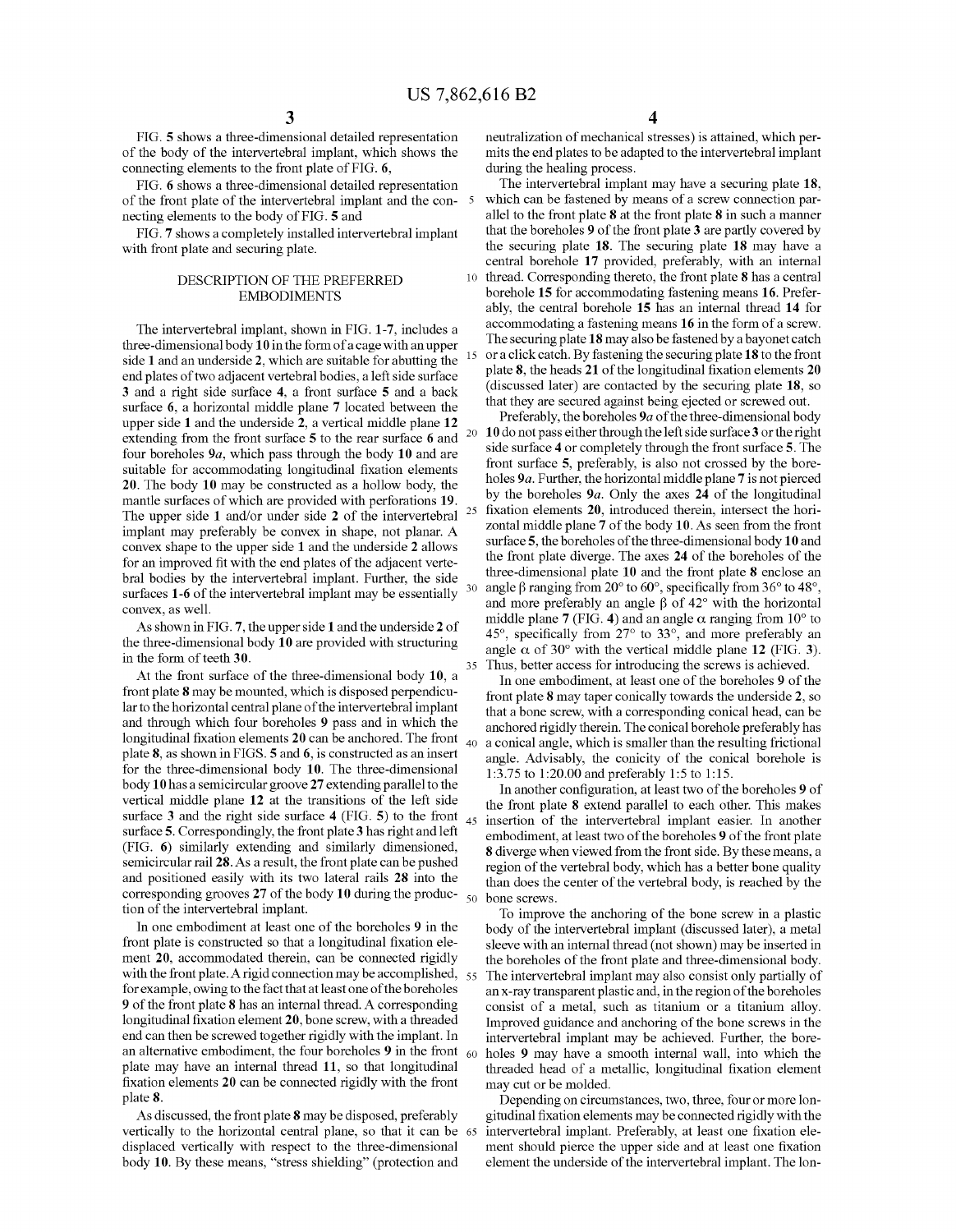25

35

FIG. 5 shows a three-dimensional detailed representation of the body of the intervertebral implant, which shows the connecting elements to the front plate of FIG. 6,

FIG. 6 shows a three-dimensional detailed representation of the front plate of the intervertebral implant and the con necting elements to the body of FIG. 5 and

FIG. 7 shows a completely installed intervertebral implant with front plate and securing plate.

### DESCRIPTION OF THE PREFERRED EMBODIMENTS

The intervertebral implant, shown in FIG. 1-7, includes a three-dimensional body 10 in the form of a cage with an upper side 1 and an underside 2, which are suitable for abutting the end plates of two adjacent vertebral bodies, a left side surface 3 and a right side surface 4, a front surface 5 and a back surface 6, a horizontal middle plane 7 located between the upper side 1 and the underside 2, a vertical middle plane 12 extending from the front surface 5 to the rear surface 6 and four boreholes 9a, which pass through the body 10 and are suitable for accommodating longitudinal fixation elements 20. The body 10 may be constructed as a hollow body, the mantle surfaces of which are provided with perforations 19. The upper side 1 and/or under side 2 of the intervertebral implant may preferably be convex in shape, not planar. A convex shape to the upper side 1 and the underside 2 allows for an improved fit with the end plates of the adjacent vertebral bodies by the intervertebral implant. Further, the side surfaces 1-6 of the intervertebral implant may be essentially convex, as well.

As shown in FIG. 7, the upper side 1 and the underside 2 of the three-dimensional body 10 are provided with structuring in the form of teeth 30.

At the front surface of the three-dimensional body 10, a front plate 8 may be mounted, which is disposed perpendicu lar to the horizontal central plane of the intervertebral implant and through which four boreholes 9 pass and in which the plate 8, as shown in FIGS. 5 and 6, is constructed as an insert for the three-dimensional body 10. The three-dimensional body 10 has a semicircular groove 27 extending parallel to the vertical middle plane 12 at the transitions of the left side surface 3 and the right side surface 4 (FIG. 5) to the front  $_{45}$ surface 5. Correspondingly, the front plate 3 has right and left (FIG. 6) similarly extending and similarly dimensioned, semicircular rail 28. As a result, the front plate can be pushed and positioned easily with its two lateral rails 28 into the corresponding grooves 27 of the body 10 during the produc-  $_{50}$ tion of the intervertebral implant.

In one embodiment at least one of the boreholes 9 in the front plate is constructed so that a longitudinal fixation element 20, accommodated therein, can be connected rigidly with the front plate. A rigid connection may be accomplished, 55 for example, owing to the fact that at least one of the boreholes 9 of the front plate 8 has an internal thread. A corresponding longitudinal fixation element 20, bone screw, with a threaded end can then be screwed together rigidly with the implant. In an alternative embodiment, the four boreholes **9** in the front  $\frac{60}{ }$ plate may have an internal thread 11, so that longitudinal fixation elements 20 can be connected rigidly with the front plate 8.

As discussed, the front plate 8 may be disposed, preferably vertically to the horizontal central plane, so that it can be 65 displaced vertically with respect to the three-dimensional body 10. By these means, "stress shielding" (protection and

4

neutralization of mechanical stresses) is attained, which per mits the end plates to be adapted to the intervertebral implant during the healing process.

The intervertebral implant may have a securing plate 18, which can be fastened by means of a screw connection par allel to the front plate 8 at the front plate 8 in such a manner that the boreholes 9 of the front plate 3 are partly covered by the securing plate 18. The securing plate 18 may have a central borehole 17 provided, preferably, with an internal 10 thread. Corresponding thereto, the front plate 8 has a central borehole 15 for accommodating fastening means 16. Prefer ably, the central borehole 15 has an internal thread 14 for accommodating a fastening means 16 in the form of a screw. The securing plate 18 may also be fastened by a bayonet catch or a click catch. By fastening the securing plate 18 to the front plate  $8$ , the heads  $21$  of the longitudinal fixation elements  $20$ (discussed later) are contacted by the securing plate 18, so that they are secured against being ejected or screwed out.

20 10 do not pass either through the left side surface 3 or the right Preferably, the boreholes 9a of the three-dimensional body side surface 4 or completely through the front surface 5. The front surface 5, preferably, is also not crossed by the bore holes 9a. Further, the horizontal middle plane 7 is not pierced by the boreholes  $9a$ . Only the axes 24 of the longitudinal fixation elements 20, introduced therein, intersect the horizontal middle plane 7 of the body 10. As seen from the front surface 5, the boreholes of the three-dimensional body 10 and the front plate diverge. The axes 24 of the boreholes of the three-dimensional plate 10 and the front plate 8 enclose an angle  $\beta$  ranging from 20° to 60°, specifically from 36° to 48°, and more preferably an angle  $\beta$  of 42 $\degree$  with the horizontal middle plane 7 (FIG. 4) and an angle  $\alpha$  ranging from 10° to 45°, specifically from  $27^{\circ}$  to  $33^{\circ}$ , and more preferably an angle  $\alpha$  of 30° with the vertical middle plane 12 (FIG. 3). Thus, better access for introducing the screws is achieved.

longitudinal fixation elements  $20$  can be anchored. The front  $\mu_0$  a conical angle, which is smaller than the resulting frictional In one embodiment, at least one of the boreholes 9 of the front plate 8 may taper conically towards the underside 2, so that a bone screw, with a corresponding conical head, can be anchored rigidly therein. The conical borehole preferably has angle. Advisably, the conicity of the conical borehole is 1:3.75 to 1:20.00 and preferably 1:5 to 1:15.

> In another configuration, at least two of the boreholes 9 of the front plate 8 extend parallel to each other. This makes insertion of the intervertebral implant easier. In another embodiment, at least two of the boreholes 9 of the front plate 8 diverge when viewed from the front side. By these means, a region of the vertebral body, which has a better bone quality than does the center of the vertebral body, is reached by the bone screws.

> To improve the anchoring of the bone screw in a plastic body of the intervertebral implant (discussed later), a metal sleeve with an internal thread (not shown) may be inserted in the boreholes of the front plate and three-dimensional body. The intervertebral implant may also consist only partially of an x-ray transparent plastic and, in the region of the boreholes consist of a metal, such as titanium or a titanium alloy. Improved guidance and anchoring of the bone screws in the intervertebral implant may be achieved. Further, the bore holes 9 may have a smooth internal wall, into which the threaded head of a metallic, longitudinal fixation element may cut or be molded.

> Depending on circumstances, two, three, four or more lon gitudinal fixation elements may be connected rigidly with the intervertebral implant. Preferably, at least one fixation element should pierce the upper side and at least one fixation element the underside of the intervertebral implant. The lon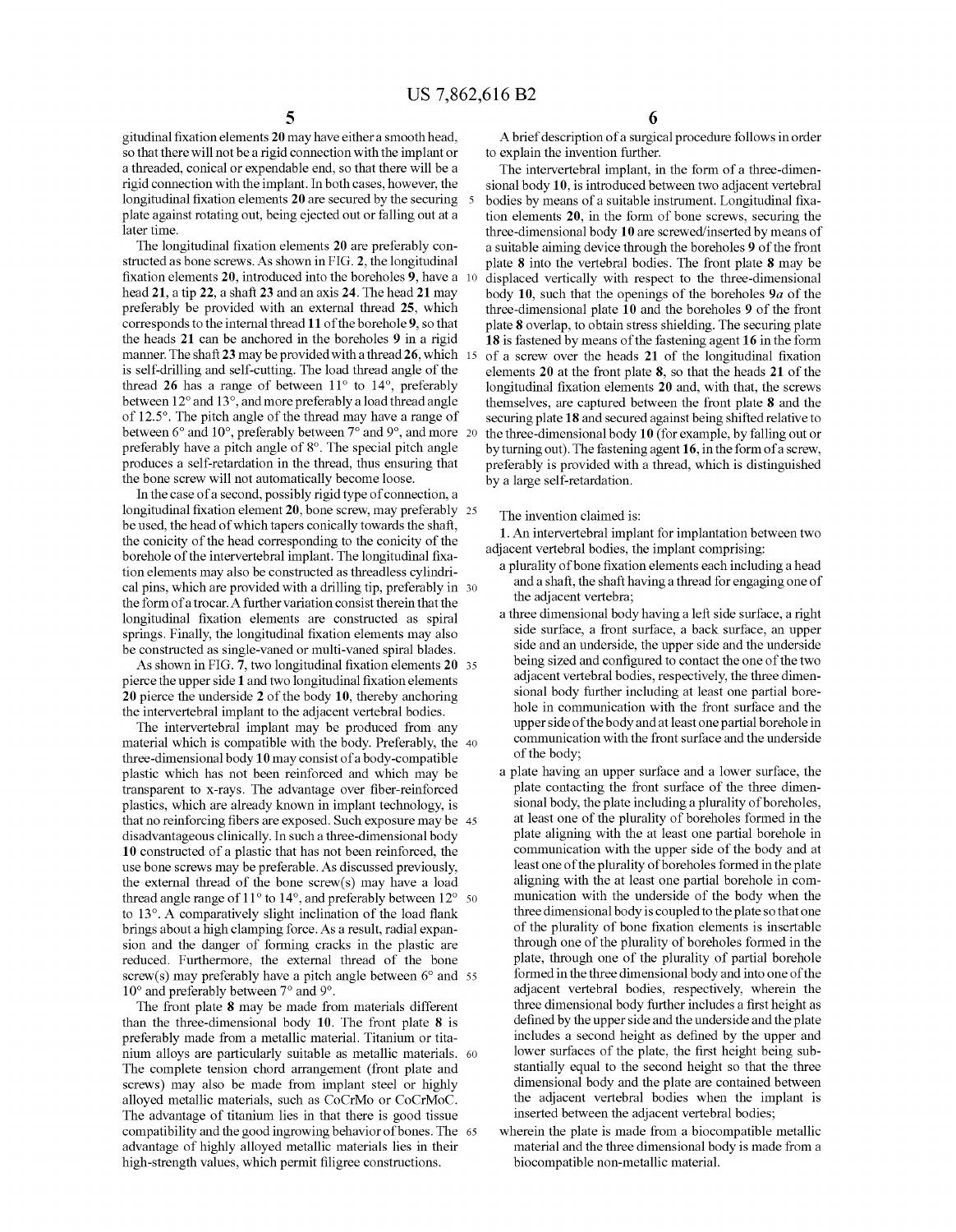gitudinal fixation elements 20 may have either a smooth head, so that there will not be a rigid connection with the implant or a threaded, conical or expendable end, so that there will be a rigid connection with the implant. In both cases, however, the longitudinal fixation elements 20 are secured by the securing 5 plate against rotating out, being ejected out or falling out at a later time.

The longitudinal fixation elements 20 are preferably constructed as bone screws. As shown in FIG. 2, the longitudinal fixation elements  $20$ , introduced into the boreholes  $9$ , have a 10 head 21, a tip 22, a shaft 23 and an axis 24. The head 21 may preferably be provided with an external thread 25, which corresponds to the internal thread 11 of the borehole 9, so that the heads 21 can be anchored in the boreholes 9 in a rigid manner. The shaft 23 may be provided with a thread 26, which is self-drilling and self-cutting. The load thread angle of the thread 26 has a range of between 11° to 14°, preferably between 12° and 13°, and more preferably a load thread angle of 125°. The pitch angle of the thread may have a range of between 6° and 10°, preferably between 7° and 9°, and more 20 preferably have a pitch angle of 8°. The special pitch angle produces a self-retardation in the thread, thus ensuring that the bone screw will not automatically become loose.

In the case of a second, possibly rigid type of connection, a  $longitudinal fixation element 20, bone screw, may preferably  $25$$ be used, the head of which tapers conically towards the shaft, the conicity of the head corresponding to the conicity of the borehole of the intervertebral implant. The longitudinal fixation elements may also be constructed as threadless cylindri cal pins, which are provided with a drilling tip, preferably in 30 the form of a trocar. A further variation consist therein that the longitudinal fixation elements are constructed as spiral springs. Finally, the longitudinal fixation elements may also be constructed as single-vaned or multi-vaned spiral blades.

As shown in FIG. 7, two longitudinal fixation elements 20 35 pierce the upper side 1 and two longitudinal fixation elements 20 pierce the underside 2 of the body 10, thereby anchoring the intervertebral implant to the adjacent vertebral bodies.

The intervertebral implant may be produced from any material which is compatible with the body. Preferably, the 40 three-dimensional body 10 may consist of a body-compatible plastic which has not been reinforced and which may be transparent to x-rays. The advantage over fiber-reinforced plastics, which are already known in implant technology, is that no reinforcing fibers are exposed. Such exposure may be 45 disadvantageous clinically. In such a three-dimensional body 10 constructed of a plastic that has not been reinforced, the use bone screws may be preferable. As discussed previously, the external thread of the bone screw(s) may have a load thread angle range of 1 1° to 14°, and preferably between 12° 50 to  $13^\circ$ . A comparatively slight inclination of the load flank brings about a high clamping force. As a result, radial expan sion and the danger of forming cracks in the plastic are reduced. Furthermore, the external thread of the bone screw(s) may preferably have a pitch angle between 6° and 55 10° and preferably between 7° and 9°.

The front plate 8 may be made from materials different than the three-dimensional body 10. The front plate 8 is preferably made from a metallic material. Titanium or tita nium alloys are particularly suitable as metallic materials. 60 The complete tension chord arrangement (front plate and screws) may also be made from implant steel or highly alloyed metallic materials, such as CoCrMo or CoCrMoC. The advantage of titanium lies in that there is good tissue compatibility and the good ingrowing behavior of bones. The 65 advantage of highly alloyed metallic materials lies in their high-strength values, which permit filigree constructions.

A brief description of a surgical procedure follows in order to explain the invention further.

The intervertebral implant, in the form of a three-dimen sional body 10, is introduced between two adjacent vertebral bodies by means of a suitable instrument. Longitudinal fixation elements 20, in the form of bone screws, securing the three-dimensional body 10 are screwed/inserted by means of a suitable aiming device through the boreholes 9 of the front plate 8 into the vertebral bodies. The front plate 8 may be displaced vertically with respect to the three-dimensional body 10, such that the openings of the boreholes  $9a$  of the three-dimensional plate 10 and the boreholes 9 of the front plate 8 overlap, to obtain stress shielding. The securing plate 18 is fastened by means of the fastening agent 16 in the form of a screw over the heads  $21$  of the longitudinal fixation elements 20 at the front plate 8, so that the heads 21 of the longitudinal fixation elements 20 and, with that, the screws themselves, are captured between the front plate 8 and the securing plate 18 and secured against being shifted relative to the three-dimensional body 10 (for example, by falling out or by turning out). The fastening agent 16, in the form of a screw, preferably is provided with a thread, which is distinguished by a large self-retardation.

### The invention claimed is:

1. An intervertebral implant for implantation between two adjacent vertebral bodies, the implant comprising:<br>a plurality of bone fixation elements each including a head

- and a shaft, the shaft having a thread for engaging one of the adjacent vertebra;
- a three dimensional body having a left side surface, a right side surface, a front surface, a back surface, an upper side and an underside, the upper side and the underside being sized and configured to contact the one of the two adjacent vertebral bodies, respectively, the three dimen sional body further including at least one partial bore hole in communication with the front surface and the upper side of the body and at least one partial borehole in communication with the front surface and the underside of the body;
- a plate having an upper surface and a lower surface, the plate contacting the front surface of the three dimen sional body, the plate including a plurality of boreholes, at least one of the plurality of boreholes formed in the plate aligning with the at least one partial borehole in communication with the upper side of the body and at least one of the plurality of boreholes formed in the plate aligning with the at least one partial borehole in com munication with the underside of the body when the three dimensional body is coupled to the plate so that one of the plurality of bone fixation elements is insertable through one of the plurality of boreholes formed in the plate, through one of the plurality of partial borehole formed in the three dimensional body and into one of the adjacent vertebral bodies, respectively, wherein the three dimensional body further includes a first height as defined by the upper side and the underside and the plate includes a second height as defined by the upper and lower surfaces of the plate, the first height being substantially equal to the second height so that the three dimensional body and the plate are contained between the adjacent vertebral bodies when the implant is inserted between the adjacent vertebral bodies;
- wherein the plate is made from a biocompatible metallic material and the three dimensional body is made from a biocompatible non-metallic material.